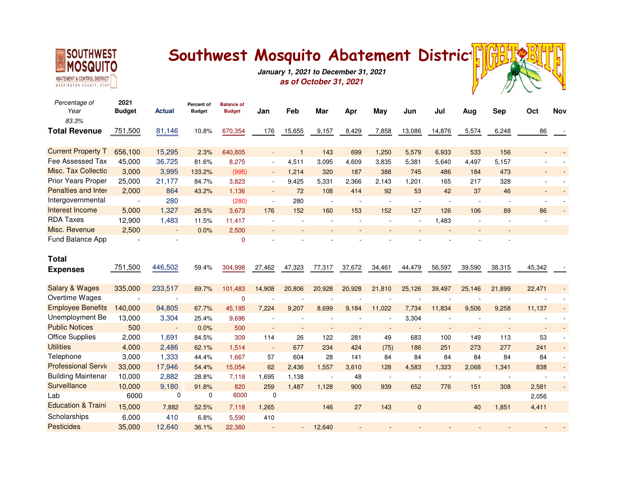

## Southwest Mosquito Abatement Distric<sup>1</sup>



**January 1, 2021 to December 31, 2021as of October 31, 2021**

| Percentage of<br>Year           | 2021<br><b>Budget</b> | Actual      | Percent of<br><b>Budget</b> | <b>Balance of</b><br><b>Budget</b> | Jan                         | Feb            | Mar    | Apr    | May                      | Jun          | Jul    | Aug    | <b>Sep</b> | Oct    | <b>Nov</b> |
|---------------------------------|-----------------------|-------------|-----------------------------|------------------------------------|-----------------------------|----------------|--------|--------|--------------------------|--------------|--------|--------|------------|--------|------------|
| 83.3%                           |                       |             |                             |                                    |                             |                |        |        |                          |              |        |        |            |        |            |
| <b>Total Revenue</b>            | 751,500               | 81,146      | 10.8%                       | 670,354                            | 176                         | 15,655         | 9,157  | 8,429  | 7,858                    | 13,086       | 14,876 | 5,574  | 6,248      | 86     |            |
| <b>Current Property T</b>       | 656,100               | 15,295      | 2.3%                        | 640,805                            | ä,                          | $\overline{1}$ | 143    | 699    | 1,250                    | 5,579        | 6,933  | 533    | 156        |        |            |
| Fee Assessed Tax                | 45,000                | 36,725      | 81.6%                       | 8,275                              | $\overline{a}$              | 4,511          | 3,095  | 4,609  | 3,835                    | 5,381        | 5,640  | 4,497  | 5,157      |        |            |
| Misc. Tax Collectio             | 3,000                 | 3,995       | 133.2%                      | (995)                              | $\overline{\phantom{a}}$    | 1,214          | 320    | 187    | 388                      | 745          | 486    | 184    | 473        |        |            |
| Prior Years Proper              | 25,000                | 21,177      | 84.7%                       | 3,823                              | $\blacksquare$              | 9,425          | 5,331  | 2,366  | 2,143                    | 1,201        | 165    | 217    | 328        |        |            |
| <b>Penalties and Inter</b>      | 2.000                 | 864         | 43.2%                       | 1,136                              | $\mathcal{L}_{\mathcal{C}}$ | 72             | 108    | 414    | 92                       | 53           | 42     | 37     | 46         |        |            |
| Intergovernmental               | $\overline{a}$        | 280         |                             | (280)                              | $\overline{\phantom{a}}$    | 280            |        |        | ÷,                       | ÷,           |        |        |            |        |            |
| Interest Income                 | 5,000                 | 1,327       | 26.5%                       | 3,673                              | 176                         | 152            | 160    | 153    | 152                      | 127          | 126    | 106    | 89         | 86     |            |
| <b>RDA Taxes</b>                | 12,900                | 1,483       | 11.5%                       | 11,417                             | $\sim$                      | $\sim$         |        |        |                          |              | 1,483  |        | ÷.         |        |            |
| Misc. Revenue                   | 2,500                 |             | 0.0%                        | 2,500                              |                             |                |        |        |                          |              |        |        |            |        |            |
| Fund Balance App                |                       |             |                             | $\mathbf 0$                        |                             |                |        |        |                          |              |        |        |            |        |            |
| <b>Total</b><br><b>Expenses</b> | 751,500               | 446,502     | 59.4%                       | 304,998                            | 27,462                      | 47,323         | 77,317 | 37,672 | 34,461                   | 44,479       | 56,597 | 39,590 | 38,315     | 45,342 |            |
| <b>Salary &amp; Wages</b>       | 335,000               | 233,517     | 69.7%                       | 101,483                            | 14,908                      | 20,806         | 20,928 | 20,928 | 21,810                   | 25,126       | 39,497 | 25,146 | 21,899     | 22,471 |            |
| Overtime Wages                  |                       |             |                             | 0                                  |                             |                |        |        |                          |              |        |        |            |        |            |
| <b>Employee Benefits</b>        | 140,000               | 94,805      | 67.7%                       | 45,195                             | 7,224                       | 9,207          | 8,699  | 9,184  | 11,022                   | 7,734        | 11,834 | 9,506  | 9,258      | 11,137 |            |
| Unemployment Be                 | 13,000                | 3,304       | 25.4%                       | 9,696                              | $\sim$                      |                |        |        | $\overline{\phantom{a}}$ | 3,304        |        |        |            |        |            |
| <b>Public Notices</b>           | 500                   | $\sim$      | 0.0%                        | 500                                | $\sim$                      | $\sim$         |        |        | ٠                        |              |        |        |            |        |            |
| <b>Office Supplies</b>          | 2,000                 | 1,691       | 84.5%                       | 309                                | 114                         | 26             | 122    | 281    | 49                       | 683          | 100    | 149    | 113        | 53     |            |
| <b>Utilities</b>                | 4,000                 | 2,486       | 62.1%                       | 1,514                              | $\overline{\phantom{a}}$    | 677            | 234    | 424    | (75)                     | 186          | 251    | 273    | 277        | 241    |            |
| Telephone                       | 3,000                 | 1,333       | 44.4%                       | 1,667                              | 57                          | 604            | 28     | 141    | 84                       | 84           | 84     | 84     | 84         | 84     |            |
| <b>Professional Servic</b>      | 33,000                | 17,946      | 54.4%                       | 15,054                             | 62                          | 2,436          | 1,557  | 3,610  | 128                      | 4,583        | 1,323  | 2,068  | 1,341      | 838    |            |
| <b>Building Maintenar</b>       | 10,000                | 2,882       | 28.8%                       | 7,118                              | 1,695                       | 1,138          |        | 48     |                          |              |        |        |            |        |            |
| Surveillance                    | 10,000                | 9,180       | 91.8%                       | 820                                | 259                         | 1,487          | 1,128  | 900    | 939                      | 652          | 776    | 151    | 308        | 2,581  |            |
| Lab                             | 6000                  | $\mathbf 0$ | 0                           | 6000                               | $\mathbf 0$                 |                |        |        |                          |              |        |        |            | 2,056  |            |
| <b>Education &amp; Traini</b>   | 15,000                | 7,882       | 52.5%                       | 7,118                              | 1,265                       |                | 146    | 27     | 143                      | $\mathbf{0}$ |        | 40     | 1,851      | 4,411  |            |
| Scholarships                    | 6,000                 | 410         | 6.8%                        | 5,590                              | 410                         |                |        |        |                          |              |        |        |            |        |            |
| <b>Pesticides</b>               | 35,000                | 12,640      | 36.1%                       | 22,360                             |                             |                | 12,640 |        |                          |              |        |        |            |        |            |
|                                 |                       |             |                             |                                    |                             |                |        |        |                          |              |        |        |            |        |            |